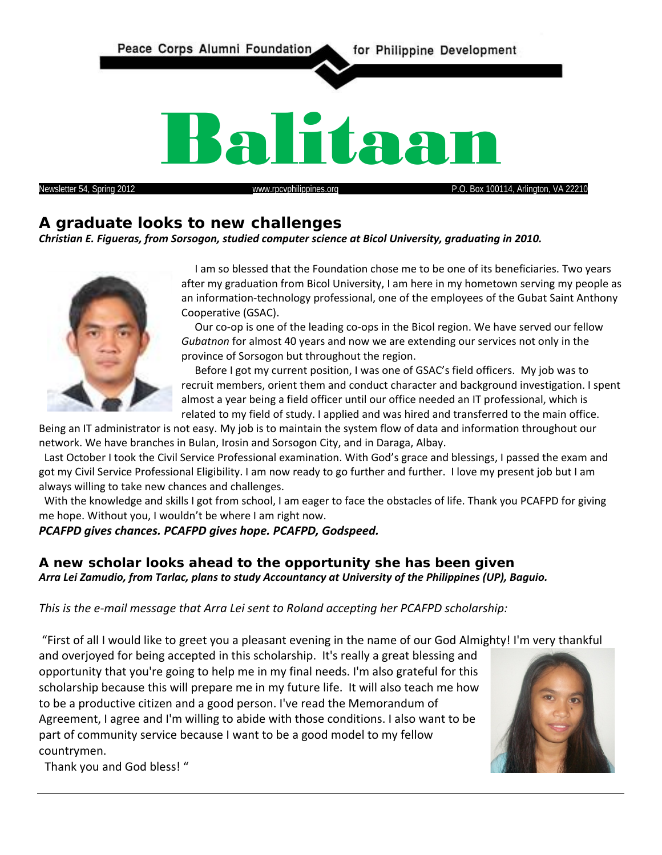

# **A graduate looks to new challenges**

*Christian E. Figueras, from Sorsogon, studied computer science at Bicol University, graduating in 2010.*



 I am so blessed that the Foundation chose me to be one of its beneficiaries. Two years after my graduation from Bicol University, I am here in my hometown serving my people as an information-technology professional, one of the employees of the Gubat Saint Anthony Cooperative (GSAC).

 Our co-op is one of the leading co-ops in the Bicol region. We have served our fellow *Gubatnon* for almost 40 years and now we are extending our services not only in the province of Sorsogon but throughout the region.

 Before I got my current position, I was one of GSAC's field officers. My job was to recruit members, orient them and conduct character and background investigation. I spent almost a year being a field officer until our office needed an IT professional, which is related to my field of study. I applied and was hired and transferred to the main office.

Being an IT administrator is not easy. My job is to maintain the system flow of data and information throughout our network. We have branches in Bulan, Irosin and Sorsogon City, and in Daraga, Albay.

 Last October I took the Civil Service Professional examination. With God's grace and blessings, I passed the exam and got my Civil Service Professional Eligibility. I am now ready to go further and further. I love my present job but I am always willing to take new chances and challenges.

With the knowledge and skills I got from school, I am eager to face the obstacles of life. Thank you PCAFPD for giving me hope. Without you, I wouldn't be where I am right now.

#### *PCAFPD gives chances. PCAFPD gives hope. PCAFPD, Godspeed.*

## **A new scholar looks ahead to the opportunity she has been given** *Arra Lei Zamudio, from Tarlac, plans to study Accountancy at University of the Philippines (UP), Baguio.*

#### *This is the e-mail message that Arra Lei sent to Roland accepting her PCAFPD scholarship:*

"First of all I would like to greet you a pleasant evening in the name of our God Almighty! I'm very thankful

and overjoyed for being accepted in this scholarship. It's really a great blessing and opportunity that you're going to help me in my final needs. I'm also grateful for this scholarship because this will prepare me in my future life. It will also teach me how to be a productive citizen and a good person. I've read the Memorandum of Agreement, I agree and I'm willing to abide with those conditions. I also want to be part of community service because I want to be a good model to my fellow countrymen.



Thank you and God bless! "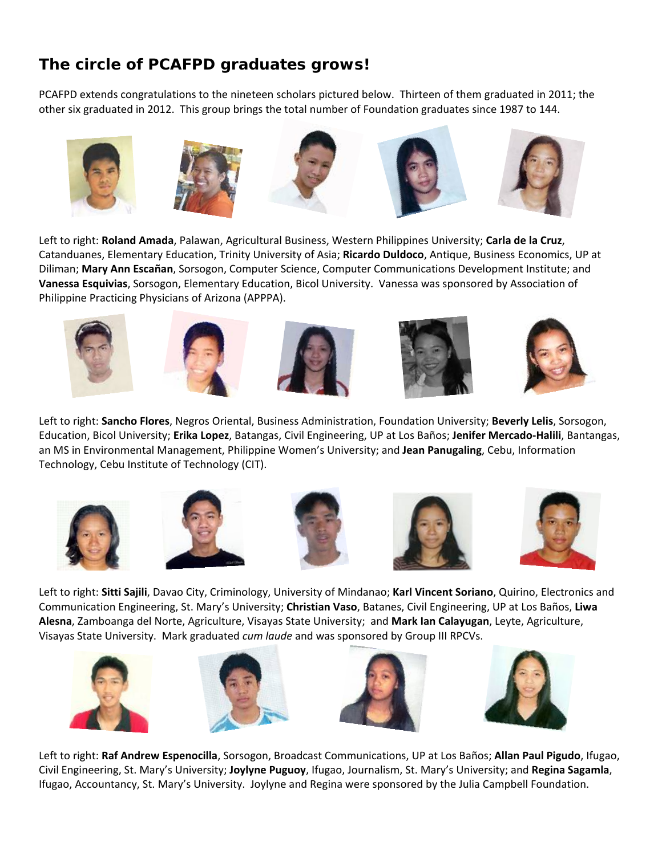# **The circle of PCAFPD graduates grows!**

PCAFPD extends congratulations to the nineteen scholars pictured below. Thirteen of them graduated in 2011; the other six graduated in 2012. This group brings the total number of Foundation graduates since 1987 to 144.



Left to right: **Roland Amada**, Palawan, Agricultural Business, Western Philippines University; **Carla de la Cruz**, Catanduanes, Elementary Education, Trinity University of Asia; **Ricardo Duldoco**, Antique, Business Economics, UP at Diliman; **Mary Ann Escañan**, Sorsogon, Computer Science, Computer Communications Development Institute; and **Vanessa Esquivias**, Sorsogon, Elementary Education, Bicol University. Vanessa was sponsored by Association of Philippine Practicing Physicians of Arizona (APPPA).











Left to right: **Sancho Flores**, Negros Oriental, Business Administration, Foundation University; **Beverly Lelis**, Sorsogon, Education, Bicol University; **Erika Lopez**, Batangas, Civil Engineering, UP at Los Baños; **Jenifer Mercado-Halili**, Bantangas, an MS in Environmental Management, Philippine Women's University; and **Jean Panugaling**, Cebu, Information Technology, Cebu Institute of Technology (CIT).











Left to right: **Sitti Sajili**, Davao City, Criminology, University of Mindanao; **Karl Vincent Soriano**, Quirino, Electronics and Communication Engineering, St. Mary's University; **Christian Vaso**, Batanes, Civil Engineering, UP at Los Baños, **Liwa Alesna**, Zamboanga del Norte, Agriculture, Visayas State University; and **Mark Ian Calayugan**, Leyte, Agriculture, Visayas State University. Mark graduated *cum laude* and was sponsored by Group III RPCVs.









Left to right: **Raf Andrew Espenocilla**, Sorsogon, Broadcast Communications, UP at Los Baños; **Allan Paul Pigudo**, Ifugao, Civil Engineering, St. Mary's University; **Joylyne Puguoy**, Ifugao, Journalism, St. Mary's University; and **Regina Sagamla**, Ifugao, Accountancy, St. Mary's University. Joylyne and Regina were sponsored by the Julia Campbell Foundation.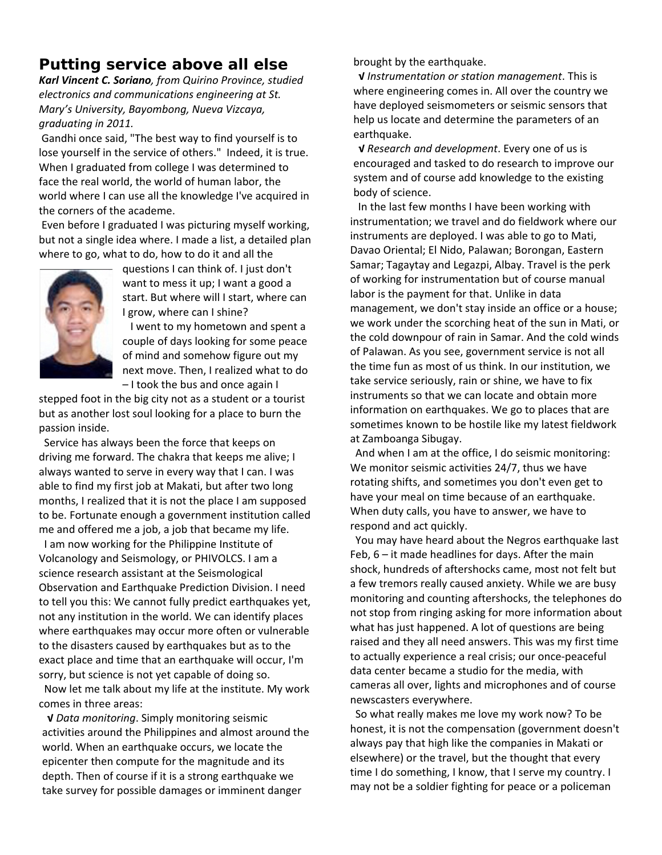# **Putting service above all else**

*Karl Vincent C. Soriano, from Quirino Province, studied electronics and communications engineering at St. Mary's University, Bayombong, Nueva Vizcaya, graduating in 2011.*

Gandhi once said, "The best way to find yourself is to lose yourself in the service of others." Indeed, it is true. When I graduated from college I was determined to face the real world, the world of human labor, the world where I can use all the knowledge I've acquired in the corners of the academe.

Even before I graduated I was picturing myself working, but not a single idea where. I made a list, a detailed plan where to go, what to do, how to do it and all the



questions I can think of. I just don't want to mess it up; I want a good a start. But where will I start, where can I grow, where can I shine?

 I went to my hometown and spent a couple of days looking for some peace of mind and somehow figure out my next move. Then, I realized what to do – I took the bus and once again I

stepped foot in the big city not as a student or a tourist but as another lost soul looking for a place to burn the passion inside.

 Service has always been the force that keeps on driving me forward. The chakra that keeps me alive; I always wanted to serve in every way that I can. I was able to find my first job at Makati, but after two long months, I realized that it is not the place I am supposed to be. Fortunate enough a government institution called me and offered me a job, a job that became my life.

 I am now working for the Philippine Institute of Volcanology and Seismology, or PHIVOLCS. I am a science research assistant at the Seismological Observation and Earthquake Prediction Division. I need to tell you this: We cannot fully predict earthquakes yet, not any institution in the world. We can identify places where earthquakes may occur more often or vulnerable to the disasters caused by earthquakes but as to the exact place and time that an earthquake will occur, I'm sorry, but science is not yet capable of doing so.

 Now let me talk about my life at the institute. My work comes in three areas:

 **√** *Data monitoring*. Simply monitoring seismic activities around the Philippines and almost around the world. When an earthquake occurs, we locate the epicenter then compute for the magnitude and its depth. Then of course if it is a strong earthquake we take survey for possible damages or imminent danger

brought by the earthquake.

**√** *Instrumentation or station management*. This is where engineering comes in. All over the country we have deployed seismometers or seismic sensors that help us locate and determine the parameters of an earthquake.

 **√** *Research and development*. Every one of us is encouraged and tasked to do research to improve our system and of course add knowledge to the existing body of science.

 In the last few months I have been working with instrumentation; we travel and do fieldwork where our instruments are deployed. I was able to go to Mati, Davao Oriental; El Nido, Palawan; Borongan, Eastern Samar; Tagaytay and Legazpi, Albay. Travel is the perk of working for instrumentation but of course manual labor is the payment for that. Unlike in data management, we don't stay inside an office or a house; we work under the scorching heat of the sun in Mati, or the cold downpour of rain in Samar. And the cold winds of Palawan. As you see, government service is not all the time fun as most of us think. In our institution, we take service seriously, rain or shine, we have to fix instruments so that we can locate and obtain more information on earthquakes. We go to places that are sometimes known to be hostile like my latest fieldwork at Zamboanga Sibugay.

 And when I am at the office, I do seismic monitoring: We monitor seismic activities 24/7, thus we have rotating shifts, and sometimes you don't even get to have your meal on time because of an earthquake. When duty calls, you have to answer, we have to respond and act quickly.

 You may have heard about the Negros earthquake last Feb, 6 – it made headlines for days. After the main shock, hundreds of aftershocks came, most not felt but a few tremors really caused anxiety. While we are busy monitoring and counting aftershocks, the telephones do not stop from ringing asking for more information about what has just happened. A lot of questions are being raised and they all need answers. This was my first time to actually experience a real crisis; our once-peaceful data center became a studio for the media, with cameras all over, lights and microphones and of course newscasters everywhere.

 So what really makes me love my work now? To be honest, it is not the compensation (government doesn't always pay that high like the companies in Makati or elsewhere) or the travel, but the thought that every time I do something, I know, that I serve my country. I may not be a soldier fighting for peace or a policeman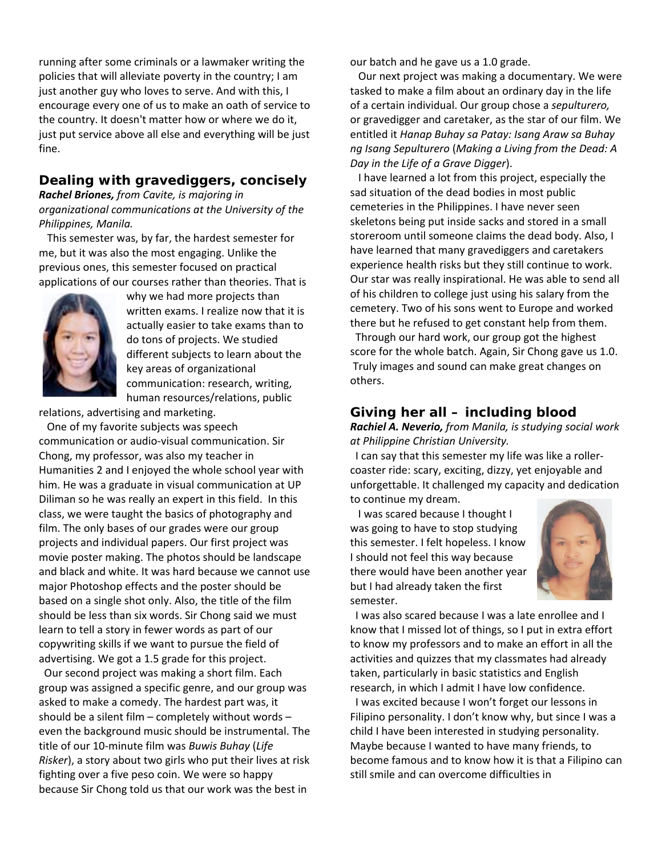running after some criminals or a lawmaker writing the policies that will alleviate poverty in the country; I am just another guy who loves to serve. And with this, I encourage every one of us to make an oath of service to the country. It doesn't matter how or where we do it, just put service above all else and everything will be just fine.

## **Dealing with gravediggers, concisely**

*Rachel Briones, from Cavite, is majoring in organizational communications at the University of the Philippines, Manila.*

 This semester was, by far, the hardest semester for me, but it was also the most engaging. Unlike the previous ones, this semester focused on practical applications of our courses rather than theories. That is



why we had more projects than written exams. I realize now that it is actually easier to take exams than to do tons of projects. We studied different subjects to learn about the key areas of organizational communication: research, writing, human resources/relations, public

relations, advertising and marketing.

 One of my favorite subjects was speech communication or audio-visual communication. Sir Chong, my professor, was also my teacher in Humanities 2 and I enjoyed the whole school year with him. He was a graduate in visual communication at UP Diliman so he was really an expert in this field. In this class, we were taught the basics of photography and film. The only bases of our grades were our group projects and individual papers. Our first project was movie poster making. The photos should be landscape and black and white. It was hard because we cannot use major Photoshop effects and the poster should be based on a single shot only. Also, the title of the film should be less than six words. Sir Chong said we must learn to tell a story in fewer words as part of our copywriting skills if we want to pursue the field of advertising. We got a 1.5 grade for this project.

 Our second project was making a short film. Each group was assigned a specific genre, and our group was asked to make a comedy. The hardest part was, it should be a silent film – completely without words – even the background music should be instrumental. The title of our 10-minute film was *Buwis Buhay* (*Life Risker*), a story about two girls who put their lives at risk fighting over a five peso coin. We were so happy because Sir Chong told us that our work was the best in

our batch and he gave us a 1.0 grade.

 Our next project was making a documentary. We were tasked to make a film about an ordinary day in the life of a certain individual. Our group chose a *sepulturero,* or gravedigger and caretaker, as the star of our film. We entitled it *Hanap Buhay sa Patay: Isang Araw sa Buhay ng Isang Sepulturero* (*Making a Living from the Dead: A Day in the Life of a Grave Digger*).

 I have learned a lot from this project, especially the sad situation of the dead bodies in most public cemeteries in the Philippines. I have never seen skeletons being put inside sacks and stored in a small storeroom until someone claims the dead body. Also, I have learned that many gravediggers and caretakers experience health risks but they still continue to work. Our star was really inspirational. He was able to send all of his children to college just using his salary from the cemetery. Two of his sons went to Europe and worked there but he refused to get constant help from them. Through our hard work, our group got the highest score for the whole batch. Again, Sir Chong gave us 1.0. Truly images and sound can make great changes on others.

#### **Giving her all – including blood**

*Rachiel A. Neverio, from Manila, is studying social work at Philippine Christian University.*

 I can say that this semester my life was like a rollercoaster ride: scary, exciting, dizzy, yet enjoyable and unforgettable. It challenged my capacity and dedication to continue my dream.

 I was scared because I thought I was going to have to stop studying this semester. I felt hopeless. I know I should not feel this way because there would have been another year but I had already taken the first semester.



 I was also scared because I was a late enrollee and I know that I missed lot of things, so I put in extra effort to know my professors and to make an effort in all the activities and quizzes that my classmates had already taken, particularly in basic statistics and English research, in which I admit I have low confidence.

 I was excited because I won't forget our lessons in Filipino personality. I don't know why, but since I was a child I have been interested in studying personality. Maybe because I wanted to have many friends, to become famous and to know how it is that a Filipino can still smile and can overcome difficulties in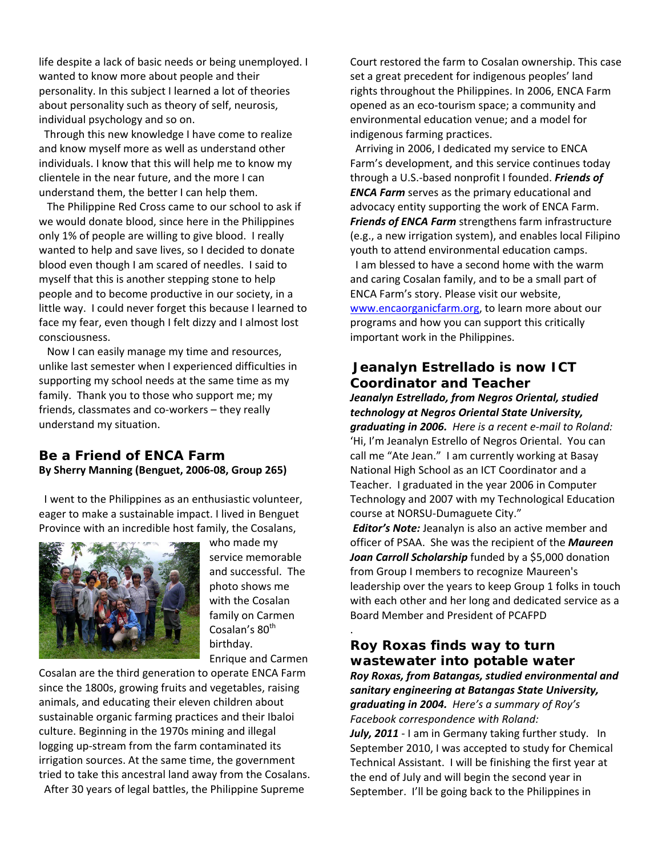life despite a lack of basic needs or being unemployed. I wanted to know more about people and their personality. In this subject I learned a lot of theories about personality such as theory of self, neurosis, individual psychology and so on.

 Through this new knowledge I have come to realize and know myself more as well as understand other individuals. I know that this will help me to know my clientele in the near future, and the more I can understand them, the better I can help them.

 The Philippine Red Cross came to our school to ask if we would donate blood, since here in the Philippines only 1% of people are willing to give blood. I really wanted to help and save lives, so I decided to donate blood even though I am scared of needles. I said to myself that this is another stepping stone to help people and to become productive in our society, in a little way. I could never forget this because I learned to face my fear, even though I felt dizzy and I almost lost consciousness.

 Now I can easily manage my time and resources, unlike last semester when I experienced difficulties in supporting my school needs at the same time as my family. Thank you to those who support me; my friends, classmates and co-workers – they really understand my situation.

#### **Be a Friend of ENCA Farm By Sherry Manning (Benguet, 2006-08, Group 265)**

 I went to the Philippines as an enthusiastic volunteer, eager to make a sustainable impact. I lived in Benguet Province with an incredible host family, the Cosalans,



who made my service memorable and successful. The photo shows me with the Cosalan family on Carmen Cosalan's 80<sup>th</sup> birthday. Enrique and Carmen

Cosalan are the third generation to operate ENCA Farm since the 1800s, growing fruits and vegetables, raising animals, and educating their eleven children about sustainable organic farming practices and their Ibaloi culture. Beginning in the 1970s mining and illegal logging up-stream from the farm contaminated its irrigation sources. At the same time, the government tried to take this ancestral land away from the Cosalans. After 30 years of legal battles, the Philippine Supreme

Court restored the farm to Cosalan ownership. This case set a great precedent for indigenous peoples' land rights throughout the Philippines. In 2006, ENCA Farm opened as an eco-tourism space; a community and environmental education venue; and a model for indigenous farming practices.

 Arriving in 2006, I dedicated my service to ENCA Farm's development, and this service continues today through a U.S.-based nonprofit I founded. *Friends of ENCA Farm* serves as the primary educational and advocacy entity supporting the work of ENCA Farm. *Friends of ENCA Farm* strengthens farm infrastructure (e.g., a new irrigation system), and enables local Filipino youth to attend environmental education camps. I am blessed to have a second home with the warm and caring Cosalan family, and to be a small part of ENCA Farm's story. Please visit our website, [www.encaorganicfarm.org,](http://www.encaorganicfarm.org/) to learn more about our programs and how you can support this critically important work in the Philippines.

# **Jeanalyn Estrellado is now ICT Coordinator and Teacher**

*Jeanalyn Estrellado, from Negros Oriental, studied technology at Negros Oriental State University, graduating in 2006. Here is a recent e-mail to Roland:* 'Hi, I'm Jeanalyn Estrello of Negros Oriental. You can call me "Ate Jean." I am currently working at Basay National High School as an ICT Coordinator and a Teacher. I graduated in the year 2006 in Computer Technology and 2007 with my Technological Education course at NORSU-Dumaguete City."

*Editor's Note:* Jeanalyn is also an active member and officer of PSAA. She was the recipient of the *Maureen*  Joan Carroll Scholarship funded by a \$5,000 donation from Group I members to recognize Maureen's leadership over the years to keep Group 1 folks in touch with each other and her long and dedicated service as a Board Member and President of PCAFPD

### . **Roy Roxas finds way to turn wastewater into potable water** *Roy Roxas, from Batangas, studied environmental and sanitary engineering at Batangas State University, graduating in 2004. Here's a summary of Roy's Facebook correspondence with Roland:*  July, 2011 - I am in Germany taking further study. In

September 2010, I was accepted to study for Chemical Technical Assistant. I will be finishing the first year at the end of July and will begin the second year in September. I'll be going back to the Philippines in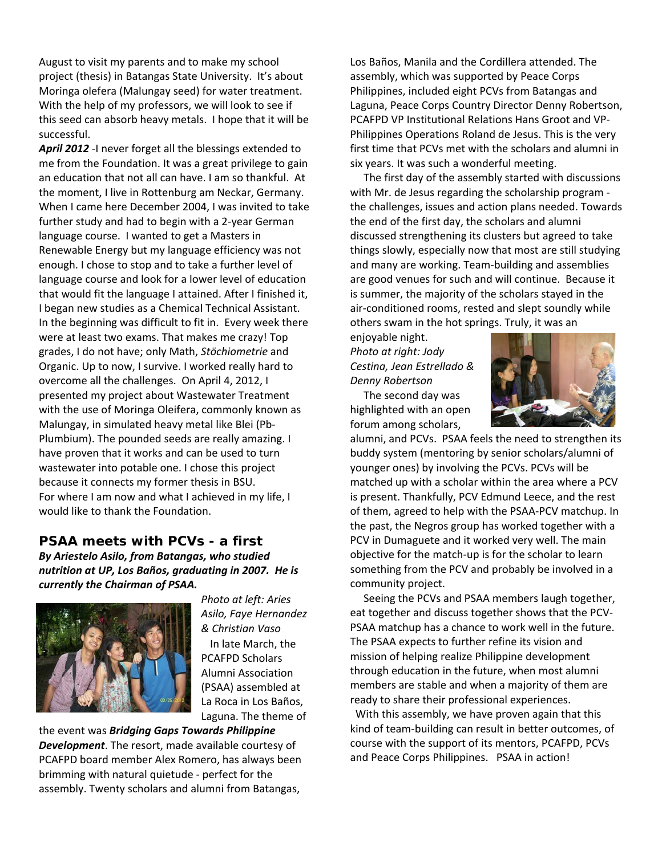August to visit my parents and to make my school project (thesis) in Batangas State University. It's about Moringa olefera (Malungay seed) for water treatment. With the help of my professors, we will look to see if this seed can absorb heavy metals. I hope that it will be successful.

April 2012 -I never forget all the blessings extended to me from the Foundation. It was a great privilege to gain an education that not all can have. I am so thankful. At the moment, I live in Rottenburg am Neckar, Germany. When I came here December 2004, I was invited to take further study and had to begin with a 2-year German language course. I wanted to get a Masters in Renewable Energy but my language efficiency was not enough. I chose to stop and to take a further level of language course and look for a lower level of education that would fit the language I attained. After I finished it, I began new studies as a Chemical Technical Assistant. In the beginning was difficult to fit in. Every week there were at least two exams. That makes me crazy! Top grades, I do not have; only Math, *Stöchiometrie* and Organic. Up to now, I survive. I worked really hard to overcome all the challenges. On April 4, 2012, I presented my project about Wastewater Treatment with the use of Moringa Oleifera, commonly known as Malungay, in simulated heavy metal like Blei (Pb-Plumbium). The pounded seeds are really amazing. I have proven that it works and can be used to turn wastewater into potable one. I chose this project because it connects my former thesis in BSU. For where I am now and what I achieved in my life, I would like to thank the Foundation.

## **PSAA meets with PCVs - a first**  *By Ariestelo Asilo, from Batangas, who studied nutrition at UP, Los Baños, graduating in 2007. He is currently the Chairman of PSAA.*



*Photo at left: Aries Asilo, Faye Hernandez & Christian Vaso* In late March, the PCAFPD Scholars Alumni Association (PSAA) assembled at La Roca in Los Baños, Laguna. The theme of

the event was *Bridging Gaps Towards Philippine Development*. The resort, made available courtesy of PCAFPD board member Alex Romero, has always been brimming with natural quietude - perfect for the assembly. Twenty scholars and alumni from Batangas,

Los Baños, Manila and the Cordillera attended. The assembly, which was supported by Peace Corps Philippines, included eight PCVs from Batangas and Laguna, Peace Corps Country Director Denny Robertson, PCAFPD VP Institutional Relations Hans Groot and VP-Philippines Operations Roland de Jesus. This is the very first time that PCVs met with the scholars and alumni in six years. It was such a wonderful meeting.

 The first day of the assembly started with discussions with Mr. de Jesus regarding the scholarship program the challenges, issues and action plans needed. Towards the end of the first day, the scholars and alumni discussed strengthening its clusters but agreed to take things slowly, especially now that most are still studying and many are working. Team-building and assemblies are good venues for such and will continue. Because it is summer, the majority of the scholars stayed in the air-conditioned rooms, rested and slept soundly while others swam in the hot springs. Truly, it was an

enjoyable night. *Photo at right: Jody Cestina, Jean Estrellado & Denny Robertson*

 The second day was highlighted with an open forum among scholars,



alumni, and PCVs. PSAA feels the need to strengthen its buddy system (mentoring by senior scholars/alumni of younger ones) by involving the PCVs. PCVs will be matched up with a scholar within the area where a PCV is present. Thankfully, PCV Edmund Leece, and the rest of them, agreed to help with the PSAA-PCV matchup. In the past, the Negros group has worked together with a PCV in Dumaguete and it worked very well. The main objective for the match-up is for the scholar to learn something from the PCV and probably be involved in a community project.

 Seeing the PCVs and PSAA members laugh together, eat together and discuss together shows that the PCV-PSAA matchup has a chance to work well in the future. The PSAA expects to further refine its vision and mission of helping realize Philippine development through education in the future, when most alumni members are stable and when a majority of them are ready to share their professional experiences.

 With this assembly, we have proven again that this kind of team-building can result in better outcomes, of course with the support of its mentors, PCAFPD, PCVs and Peace Corps Philippines. PSAA in action!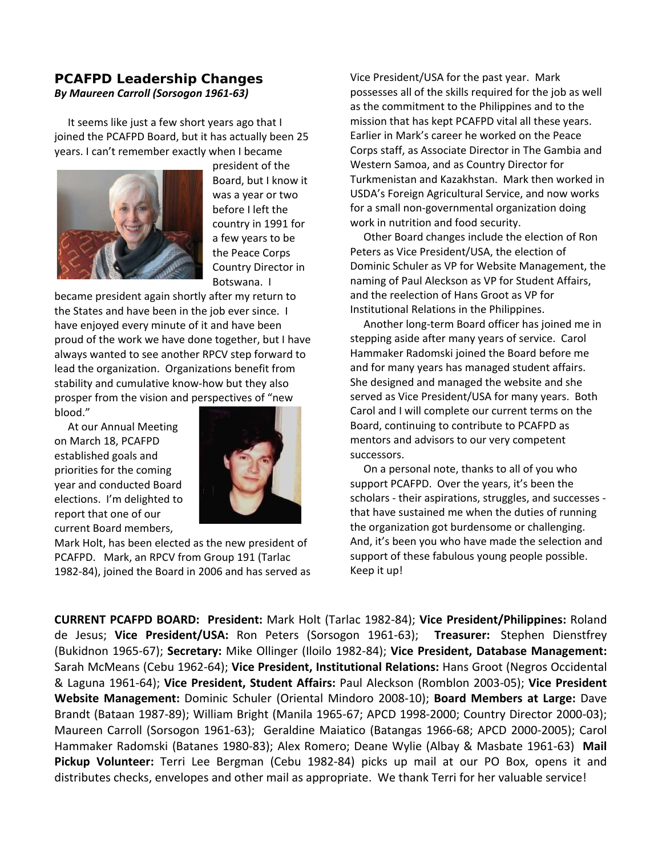#### **PCAFPD Leadership Changes** *By Maureen Carroll (Sorsogon 1961-63)*

 It seems like just a few short years ago that I joined the PCAFPD Board, but it has actually been 25 years. I can't remember exactly when I became



president of the Board, but I know it was a year or two before I left the country in 1991 for a few years to be the Peace Corps Country Director in Botswana. I

became president again shortly after my return to the States and have been in the job ever since. I have enjoyed every minute of it and have been proud of the work we have done together, but I have always wanted to see another RPCV step forward to lead the organization. Organizations benefit from stability and cumulative know-how but they also prosper from the vision and perspectives of "new blood."

 At our Annual Meeting on March 18, PCAFPD established goals and priorities for the coming year and conducted Board elections. I'm delighted to report that one of our current Board members,



Mark Holt, has been elected as the new president of PCAFPD. Mark, an RPCV from Group 191 (Tarlac 1982-84), joined the Board in 2006 and has served as Vice President/USA for the past year. Mark possesses all of the skills required for the job as well as the commitment to the Philippines and to the mission that has kept PCAFPD vital all these years. Earlier in Mark's career he worked on the Peace Corps staff, as Associate Director in The Gambia and Western Samoa, and as Country Director for Turkmenistan and Kazakhstan. Mark then worked in USDA's Foreign Agricultural Service, and now works for a small non-governmental organization doing work in nutrition and food security.

 Other Board changes include the election of Ron Peters as Vice President/USA, the election of Dominic Schuler as VP for Website Management, the naming of Paul Aleckson as VP for Student Affairs, and the reelection of Hans Groot as VP for Institutional Relations in the Philippines.

 Another long-term Board officer has joined me in stepping aside after many years of service. Carol Hammaker Radomski joined the Board before me and for many years has managed student affairs. She designed and managed the website and she served as Vice President/USA for many years. Both Carol and I will complete our current terms on the Board, continuing to contribute to PCAFPD as mentors and advisors to our very competent successors.

 On a personal note, thanks to all of you who support PCAFPD. Over the years, it's been the scholars - their aspirations, struggles, and successes that have sustained me when the duties of running the organization got burdensome or challenging. And, it's been you who have made the selection and support of these fabulous young people possible. Keep it up!

**CURRENT PCAFPD BOARD: President:** Mark Holt (Tarlac 1982-84); **Vice President/Philippines:** Roland de Jesus; **Vice President/USA:** Ron Peters (Sorsogon 1961-63); **Treasurer:** Stephen Dienstfrey (Bukidnon 1965-67); **Secretary:** Mike Ollinger (Iloilo 1982-84); **Vice President, Database Management:**  Sarah McMeans (Cebu 1962-64); **Vice President, Institutional Relations:** Hans Groot (Negros Occidental & Laguna 1961-64); **Vice President, Student Affairs:** Paul Aleckson (Romblon 2003-05); **Vice President Website Management:** Dominic Schuler (Oriental Mindoro 2008-10); **Board Members at Large:** Dave Brandt (Bataan 1987-89); William Bright (Manila 1965-67; APCD 1998-2000; Country Director 2000-03); Maureen Carroll (Sorsogon 1961-63); Geraldine Maiatico (Batangas 1966-68; APCD 2000-2005); Carol Hammaker Radomski (Batanes 1980-83); Alex Romero; Deane Wylie (Albay & Masbate 1961-63) **Mail Pickup Volunteer:** Terri Lee Bergman (Cebu 1982-84) picks up mail at our PO Box, opens it and distributes checks, envelopes and other mail as appropriate. We thank Terri for her valuable service!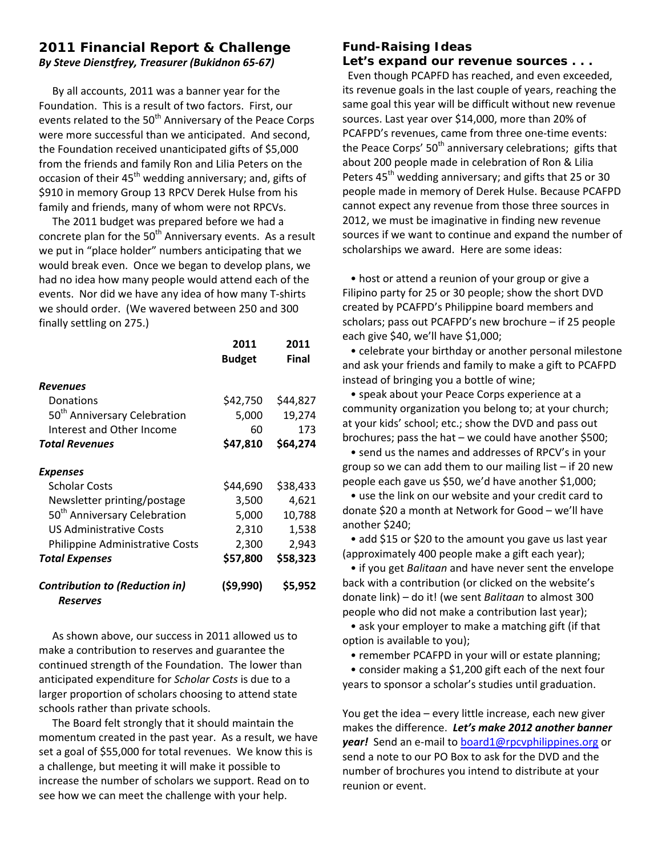# **2011 Financial Report & Challenge**  *By Steve Dienstfrey, Treasurer (Bukidnon 65-67)*

 By all accounts, 2011 was a banner year for the Foundation. This is a result of two factors. First, our events related to the 50<sup>th</sup> Anniversary of the Peace Corps were more successful than we anticipated. And second, the Foundation received unanticipated gifts of \$5,000 from the friends and family Ron and Lilia Peters on the occasion of their 45<sup>th</sup> wedding anniversary; and, gifts of \$910 in memory Group 13 RPCV Derek Hulse from his family and friends, many of whom were not RPCVs.

 The 2011 budget was prepared before we had a concrete plan for the  $50<sup>th</sup>$  Anniversary events. As a result we put in "place holder" numbers anticipating that we would break even. Once we began to develop plans, we had no idea how many people would attend each of the events. Nor did we have any idea of how many T-shirts we should order. (We wavered between 250 and 300 finally settling on 275.)

|                                                   | 2011          | 2011         |
|---------------------------------------------------|---------------|--------------|
|                                                   | <b>Budget</b> | <b>Final</b> |
| Revenues                                          |               |              |
| Donations                                         | \$42,750      | \$44,827     |
| 50 <sup>th</sup> Anniversary Celebration          | 5,000         | 19,274       |
| Interest and Other Income                         | 60            | 173          |
| <b>Total Revenues</b>                             | \$47,810      | \$64,274     |
|                                                   |               |              |
| Expenses                                          |               |              |
| <b>Scholar Costs</b>                              | \$44,690      | \$38,433     |
| Newsletter printing/postage                       | 3,500         | 4,621        |
| 50 <sup>th</sup> Anniversary Celebration          | 5,000         | 10,788       |
| <b>US Administrative Costs</b>                    | 2,310         | 1,538        |
| Philippine Administrative Costs                   | 2,300         | 2,943        |
| <b>Total Expenses</b>                             | \$57,800      | \$58,323     |
| <b>Contribution to (Reduction in)</b><br>Reserves | (\$9,990)     | \$5,952      |

 As shown above, our success in 2011 allowed us to make a contribution to reserves and guarantee the continued strength of the Foundation. The lower than anticipated expenditure for *Scholar Costs* is due to a larger proportion of scholars choosing to attend state schools rather than private schools.

 The Board felt strongly that it should maintain the momentum created in the past year. As a result, we have set a goal of \$55,000 for total revenues. We know this is a challenge, but meeting it will make it possible to increase the number of scholars we support. Read on to see how we can meet the challenge with your help.

#### *Fund-Raising Ideas Let's expand our revenue sources . . .*

 Even though PCAPFD has reached, and even exceeded, its revenue goals in the last couple of years, reaching the same goal this year will be difficult without new revenue sources. Last year over \$14,000, more than 20% of PCAFPD's revenues, came from three one-time events: the Peace Corps'  $50<sup>th</sup>$  anniversary celebrations; gifts that about 200 people made in celebration of Ron & Lilia Peters 45<sup>th</sup> wedding anniversary; and gifts that 25 or 30 people made in memory of Derek Hulse. Because PCAFPD cannot expect any revenue from those three sources in 2012, we must be imaginative in finding new revenue sources if we want to continue and expand the number of scholarships we award. Here are some ideas:

 • host or attend a reunion of your group or give a Filipino party for 25 or 30 people; show the short DVD created by PCAFPD's Philippine board members and scholars; pass out PCAFPD's new brochure – if 25 people each give \$40, we'll have \$1,000;

 • celebrate your birthday or another personal milestone and ask your friends and family to make a gift to PCAFPD instead of bringing you a bottle of wine;

 • speak about your Peace Corps experience at a community organization you belong to; at your church; at your kids' school; etc.; show the DVD and pass out brochures; pass the hat – we could have another \$500;

 • send us the names and addresses of RPCV's in your group so we can add them to our mailing list – if 20 new people each gave us \$50, we'd have another \$1,000;

 • use the link on our website and your credit card to donate \$20 a month at Network for Good – we'll have another \$240;

 • add \$15 or \$20 to the amount you gave us last year (approximately 400 people make a gift each year);

 • if you get *Balitaan* and have never sent the envelope back with a contribution (or clicked on the website's donate link) – do it! (we sent *Balitaan* to almost 300 people who did not make a contribution last year);

 • ask your employer to make a matching gift (if that option is available to you);

• remember PCAFPD in your will or estate planning;

 • consider making a \$1,200 gift each of the next four years to sponsor a scholar's studies until graduation.

You get the idea – every little increase, each new giver makes the difference. *Let's make 2012 another banner year!* Send an e-mail to [board1@rpcvphilippines.org](mailto:board1@rpcvphilippines.org) or send a note to our PO Box to ask for the DVD and the number of brochures you intend to distribute at your reunion or event.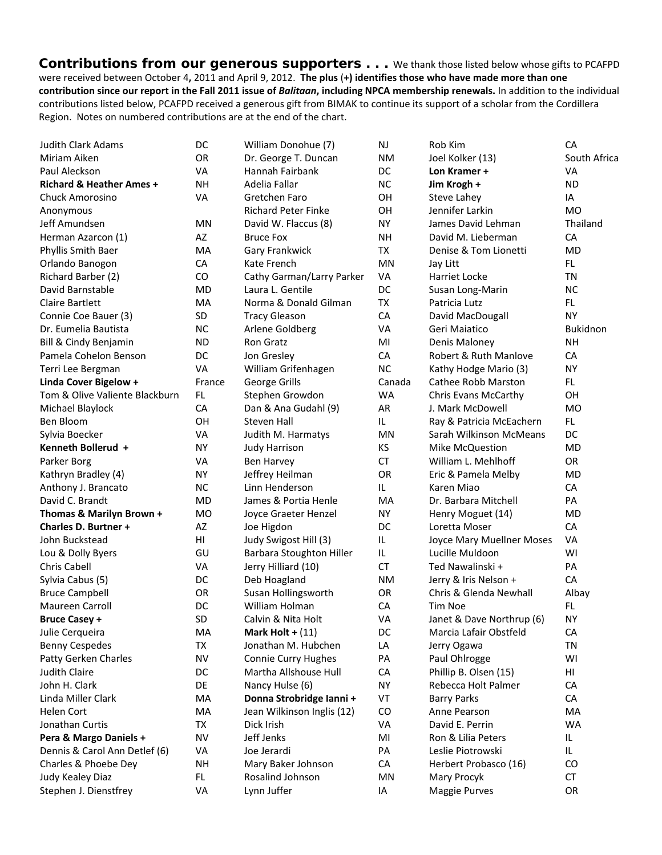*Contributions from our generous supporters* **. . .** We thank those listed below whose gifts to PCAFPD were received between October 4**,** 2011 and April 9, 2012. **The plus** (**+) identifies those who have made more than one contribution since our report in the Fall 2011 issue of** *Balitaan***, including NPCA membership renewals.** In addition to the individual contributions listed below, PCAFPD received a generous gift from BIMAK to continue its support of a scholar from the Cordillera Region. Notes on numbered contributions are at the end of the chart.

| <b>Judith Clark Adams</b>           | DC        | William Donohue (7)        | NJ        | Rob Kim                   | CA           |
|-------------------------------------|-----------|----------------------------|-----------|---------------------------|--------------|
| Miriam Aiken                        | OR        | Dr. George T. Duncan       | <b>NM</b> | Joel Kolker (13)          | South Africa |
| Paul Aleckson                       | VA        | Hannah Fairbank            | DC        | Lon Kramer +              | VA           |
| <b>Richard &amp; Heather Ames +</b> | <b>NH</b> | Adelia Fallar              | <b>NC</b> | Jim Krogh +               | <b>ND</b>    |
| Chuck Amorosino                     | VA        | Gretchen Faro              | OH        | Steve Lahey               | IA           |
| Anonymous                           |           | <b>Richard Peter Finke</b> | OH        | Jennifer Larkin           | <b>MO</b>    |
| Jeff Amundsen                       | <b>MN</b> | David W. Flaccus (8)       | <b>NY</b> | James David Lehman        | Thailand     |
| Herman Azarcon (1)                  | AZ        | <b>Bruce Fox</b>           | <b>NH</b> | David M. Lieberman        | CA           |
| Phyllis Smith Baer                  | MA        | Gary Frankwick             | TX        | Denise & Tom Lionetti     | <b>MD</b>    |
| Orlando Banogon                     | CA        | Kate French                | MN        | Jay Litt                  | FL.          |
| Richard Barber (2)                  | CO        | Cathy Garman/Larry Parker  | VA        | <b>Harriet Locke</b>      | TN           |
| David Barnstable                    | <b>MD</b> | Laura L. Gentile           | DC        | Susan Long-Marin          | <b>NC</b>    |
| <b>Claire Bartlett</b>              | MA        | Norma & Donald Gilman      | <b>TX</b> | Patricia Lutz             | <b>FL</b>    |
| Connie Coe Bauer (3)                | <b>SD</b> | <b>Tracy Gleason</b>       | CA        | David MacDougall          | <b>NY</b>    |
| Dr. Eumelia Bautista                | <b>NC</b> | Arlene Goldberg            | VA        | Geri Maiatico             | Bukidnon     |
| Bill & Cindy Benjamin               | ND.       | Ron Gratz                  | MI        | Denis Maloney             | <b>NH</b>    |
| Pamela Cohelon Benson               | DC        | Jon Gresley                | CA        | Robert & Ruth Manlove     | CA           |
| Terri Lee Bergman                   | <b>VA</b> | William Grifenhagen        | <b>NC</b> | Kathy Hodge Mario (3)     | <b>NY</b>    |
| Linda Cover Bigelow +               | France    | George Grills              | Canada    | Cathee Robb Marston       | FL.          |
| Tom & Olive Valiente Blackburn      | FL.       | Stephen Growdon            | <b>WA</b> | Chris Evans McCarthy      | OH           |
| Michael Blaylock                    | <b>CA</b> | Dan & Ana Gudahl (9)       | <b>AR</b> | J. Mark McDowell          | <b>MO</b>    |
| Ben Bloom                           | OH        | <b>Steven Hall</b>         | IL.       | Ray & Patricia McEachern  | FL.          |
| Sylvia Boecker                      | VA        | Judith M. Harmatys         | MN        | Sarah Wilkinson McMeans   | DC           |
| Kenneth Bollerud +                  | <b>NY</b> | <b>Judy Harrison</b>       | KS        | Mike McQuestion           | <b>MD</b>    |
| Parker Borg                         | VA        | Ben Harvey                 | <b>CT</b> | William L. Mehlhoff       | OR           |
| Kathryn Bradley (4)                 | <b>NY</b> | Jeffrey Heilman            | OR        | Eric & Pamela Melby       | <b>MD</b>    |
| Anthony J. Brancato                 | <b>NC</b> | Linn Henderson             | IL        | Karen Miao                | CA           |
| David C. Brandt                     | <b>MD</b> | James & Portia Henle       | <b>MA</b> | Dr. Barbara Mitchell      | PA           |
| Thomas & Marilyn Brown +            | <b>MO</b> | Joyce Graeter Henzel       | <b>NY</b> | Henry Moguet (14)         | MD           |
| <b>Charles D. Burtner +</b>         | AZ        | Joe Higdon                 | DC        | Loretta Moser             | CA           |
| John Buckstead                      | HI        | Judy Swigost Hill (3)      | IL        | Joyce Mary Muellner Moses | VA           |
| Lou & Dolly Byers                   | GU        | Barbara Stoughton Hiller   | IL        | Lucille Muldoon           | WI           |
| Chris Cabell                        | VA        | Jerry Hilliard (10)        | <b>CT</b> | Ted Nawalinski +          | PA           |
| Sylvia Cabus (5)                    | DC        | Deb Hoagland               | <b>NM</b> | Jerry & Iris Nelson +     | CA           |
| <b>Bruce Campbell</b>               | OR        | Susan Hollingsworth        | <b>OR</b> | Chris & Glenda Newhall    | Albay        |
| Maureen Carroll                     | DC        | William Holman             | CA        | <b>Tim Noe</b>            | FL.          |
| <b>Bruce Casey +</b>                | <b>SD</b> | Calvin & Nita Holt         | VA        | Janet & Dave Northrup (6) | <b>NY</b>    |
| Julie Cerqueira                     | MA        | Mark Holt + $(11)$         | DC        | Marcia Lafair Obstfeld    | CA           |
| <b>Benny Cespedes</b>               | TX        | Jonathan M. Hubchen        | LA        | Jerry Ogawa               | TN           |
| Patty Gerken Charles                | <b>NV</b> | Connie Curry Hughes        | PA        | Paul Ohlrogge             | WI           |
| <b>Judith Claire</b>                | DC        | Martha Allshouse Hull      | CA        | Phillip B. Olsen (15)     | HI           |
| John H. Clark                       | DE        | Nancy Hulse (6)            | <b>NY</b> | Rebecca Holt Palmer       | CA           |
| Linda Miller Clark                  | MA        | Donna Strobridge Ianni +   | VT        | <b>Barry Parks</b>        | CA           |
| Helen Cort                          | MA        | Jean Wilkinson Inglis (12) | CO        | Anne Pearson              | MA           |
| Jonathan Curtis                     | TX        | Dick Irish                 | VA        | David E. Perrin           | <b>WA</b>    |
| Pera & Margo Daniels +              | <b>NV</b> | Jeff Jenks                 | MI        | Ron & Lilia Peters        | IL           |
| Dennis & Carol Ann Detlef (6)       | VA        | Joe Jerardi                | PA        | Leslie Piotrowski         | IL.          |
| Charles & Phoebe Dey                | <b>NH</b> | Mary Baker Johnson         | CA        | Herbert Probasco (16)     | CO           |
| Judy Kealey Diaz                    | FL.       | Rosalind Johnson           | <b>MN</b> | Mary Procyk               | CT           |
| Stephen J. Dienstfrey               | VA        | Lynn Juffer                | ΙA        | <b>Maggie Purves</b>      | OR           |
|                                     |           |                            |           |                           |              |